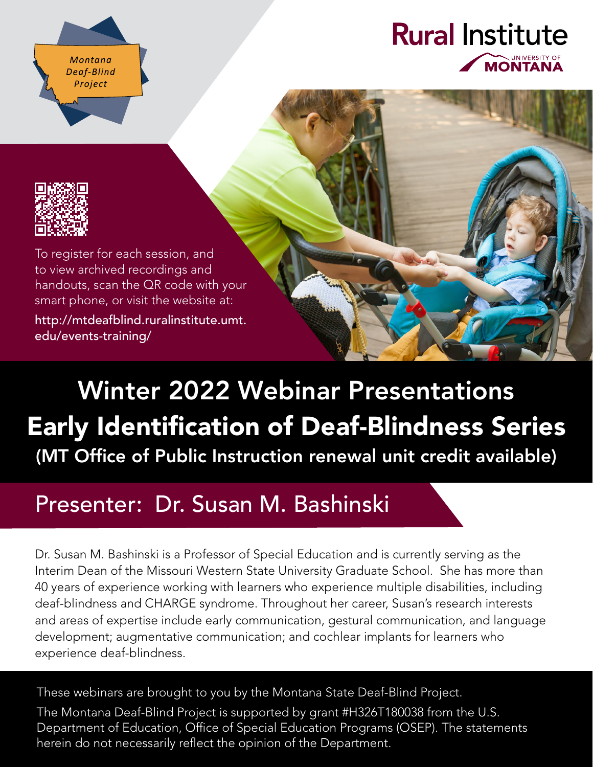Montana Deaf-Blind Project

## **Rural Institute UNIVERSITY OF** MONTANA



To register for each session, and to view archived recordings and handouts, scan the QR code with your smart phone, or visit the website at:

[http://mtdeafblind.ruralinstitute.umt.](http://mtdeafblind.ruralinstitute.umt.edu/events-training/) [edu/events-training/](http://mtdeafblind.ruralinstitute.umt.edu/events-training/)

# Winter 2022 Webinar Presentations Early Identification of Deaf-Blindness Series (MT Office of Public Instruction renewal unit credit available)

# Presenter: Dr. Susan M. Bashinski

Dr. Susan M. Bashinski is a Professor of Special Education and is currently serving as the Interim Dean of the Missouri Western State University Graduate School. She has more than 40 years of experience working with learners who experience multiple disabilities, including deaf-blindness and CHARGE syndrome. Throughout her career, Susan's research interests and areas of expertise include early communication, gestural communication, and language development; augmentative communication; and cochlear implants for learners who experience deaf-blindness.

These webinars are brought to you by the Montana State Deaf-Blind Project.

The Montana Deaf-Blind Project is supported by grant #H326T180038 from the U.S. Department of Education, Office of Special Education Programs (OSEP). The statements herein do not necessarily reflect the opinion of the Department.